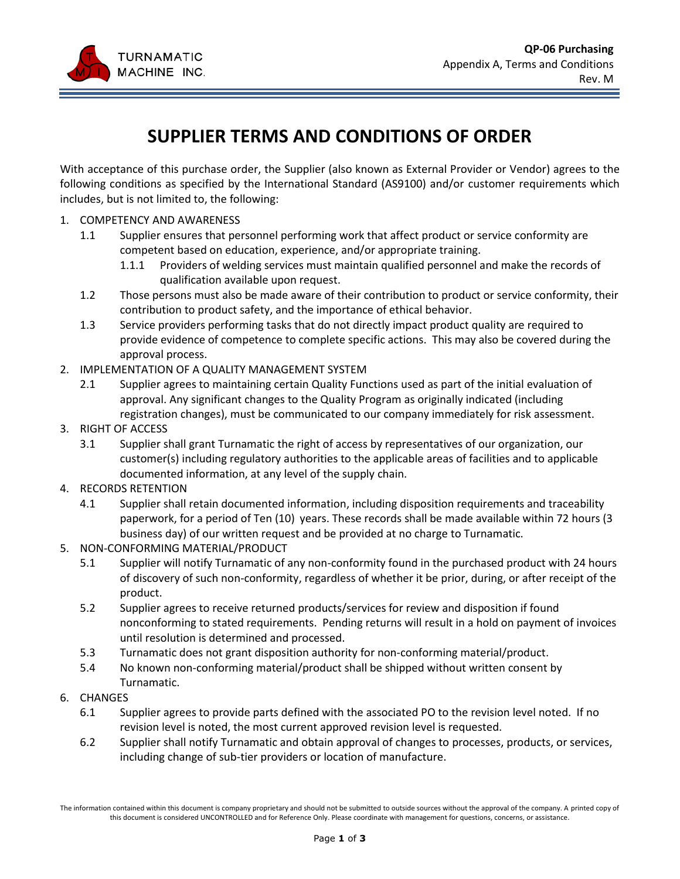

## **SUPPLIER TERMS AND CONDITIONS OF ORDER**

With acceptance of this purchase order, the Supplier (also known as External Provider or Vendor) agrees to the following conditions as specified by the International Standard (AS9100) and/or customer requirements which includes, but is not limited to, the following:

- 1. COMPETENCY AND AWARENESS
	- 1.1 Supplier ensures that personnel performing work that affect product or service conformity are competent based on education, experience, and/or appropriate training.
		- 1.1.1 Providers of welding services must maintain qualified personnel and make the records of qualification available upon request.
	- 1.2 Those persons must also be made aware of their contribution to product or service conformity, their contribution to product safety, and the importance of ethical behavior.
	- 1.3 Service providers performing tasks that do not directly impact product quality are required to provide evidence of competence to complete specific actions. This may also be covered during the approval process.
- 2. IMPLEMENTATION OF A QUALITY MANAGEMENT SYSTEM
	- 2.1 Supplier agrees to maintaining certain Quality Functions used as part of the initial evaluation of approval. Any significant changes to the Quality Program as originally indicated (including registration changes), must be communicated to our company immediately for risk assessment.
- 3. RIGHT OF ACCESS
	- 3.1 Supplier shall grant Turnamatic the right of access by representatives of our organization, our customer(s) including regulatory authorities to the applicable areas of facilities and to applicable documented information, at any level of the supply chain.
- 4. RECORDS RETENTION
	- 4.1 Supplier shall retain documented information, including disposition requirements and traceability paperwork, for a period of Ten (10) years. These records shall be made available within 72 hours (3 business day) of our written request and be provided at no charge to Turnamatic.
- 5. NON-CONFORMING MATERIAL/PRODUCT
	- 5.1 Supplier will notify Turnamatic of any non-conformity found in the purchased product with 24 hours of discovery of such non-conformity, regardless of whether it be prior, during, or after receipt of the product.
	- 5.2 Supplier agrees to receive returned products/services for review and disposition if found nonconforming to stated requirements. Pending returns will result in a hold on payment of invoices until resolution is determined and processed.
	- 5.3 Turnamatic does not grant disposition authority for non-conforming material/product.
	- 5.4 No known non-conforming material/product shall be shipped without written consent by Turnamatic.
- 6. CHANGES
	- 6.1 Supplier agrees to provide parts defined with the associated PO to the revision level noted. If no revision level is noted, the most current approved revision level is requested.
	- 6.2 Supplier shall notify Turnamatic and obtain approval of changes to processes, products, or services, including change of sub-tier providers or location of manufacture.

The information contained within this document is company proprietary and should not be submitted to outside sources without the approval of the company. A printed copy of this document is considered UNCONTROLLED and for Reference Only. Please coordinate with management for questions, concerns, or assistance.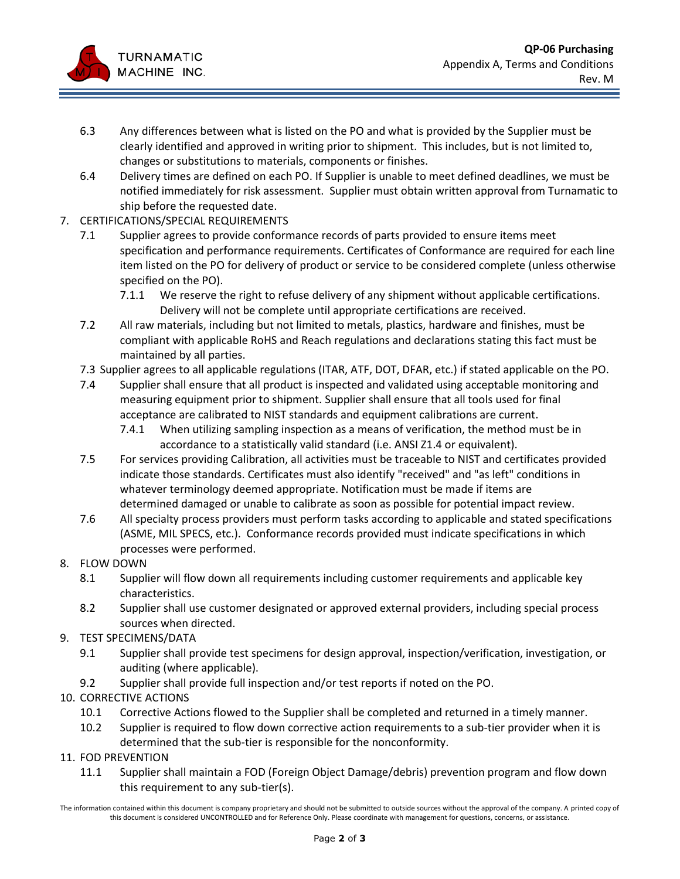

- 6.3 Any differences between what is listed on the PO and what is provided by the Supplier must be clearly identified and approved in writing prior to shipment. This includes, but is not limited to, changes or substitutions to materials, components or finishes.
- 6.4 Delivery times are defined on each PO. If Supplier is unable to meet defined deadlines, we must be notified immediately for risk assessment. Supplier must obtain written approval from Turnamatic to ship before the requested date.
- 7. CERTIFICATIONS/SPECIAL REQUIREMENTS
	- 7.1 Supplier agrees to provide conformance records of parts provided to ensure items meet specification and performance requirements. Certificates of Conformance are required for each line item listed on the PO for delivery of product or service to be considered complete (unless otherwise specified on the PO).
		- 7.1.1 We reserve the right to refuse delivery of any shipment without applicable certifications. Delivery will not be complete until appropriate certifications are received.
	- 7.2 All raw materials, including but not limited to metals, plastics, hardware and finishes, must be compliant with applicable RoHS and Reach regulations and declarations stating this fact must be maintained by all parties.
	- 7.3 Supplier agrees to all applicable regulations (ITAR, ATF, DOT, DFAR, etc.) if stated applicable on the PO.
	- 7.4 Supplier shall ensure that all product is inspected and validated using acceptable monitoring and measuring equipment prior to shipment. Supplier shall ensure that all tools used for final acceptance are calibrated to NIST standards and equipment calibrations are current.
		- 7.4.1 When utilizing sampling inspection as a means of verification, the method must be in accordance to a statistically valid standard (i.e. ANSI Z1.4 or equivalent).
	- 7.5 For services providing Calibration, all activities must be traceable to NIST and certificates provided indicate those standards. Certificates must also identify "received" and "as left" conditions in whatever terminology deemed appropriate. Notification must be made if items are determined damaged or unable to calibrate as soon as possible for potential impact review.
	- 7.6 All specialty process providers must perform tasks according to applicable and stated specifications (ASME, MIL SPECS, etc.). Conformance records provided must indicate specifications in which processes were performed.
- 8. FLOW DOWN
	- 8.1 Supplier will flow down all requirements including customer requirements and applicable key characteristics.
	- 8.2 Supplier shall use customer designated or approved external providers, including special process sources when directed.
- 9. TEST SPECIMENS/DATA
	- 9.1 Supplier shall provide test specimens for design approval, inspection/verification, investigation, or auditing (where applicable).
	- 9.2 Supplier shall provide full inspection and/or test reports if noted on the PO.
- 10. CORRECTIVE ACTIONS
	- 10.1 Corrective Actions flowed to the Supplier shall be completed and returned in a timely manner.
	- 10.2 Supplier is required to flow down corrective action requirements to a sub-tier provider when it is determined that the sub-tier is responsible for the nonconformity.
- 11. FOD PREVENTION
	- 11.1 Supplier shall maintain a FOD (Foreign Object Damage/debris) prevention program and flow down this requirement to any sub-tier(s).

The information contained within this document is company proprietary and should not be submitted to outside sources without the approval of the company. A printed copy of this document is considered UNCONTROLLED and for Reference Only. Please coordinate with management for questions, concerns, or assistance.